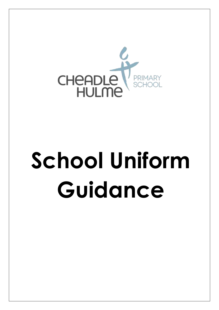

## **School Uniform Guidance**